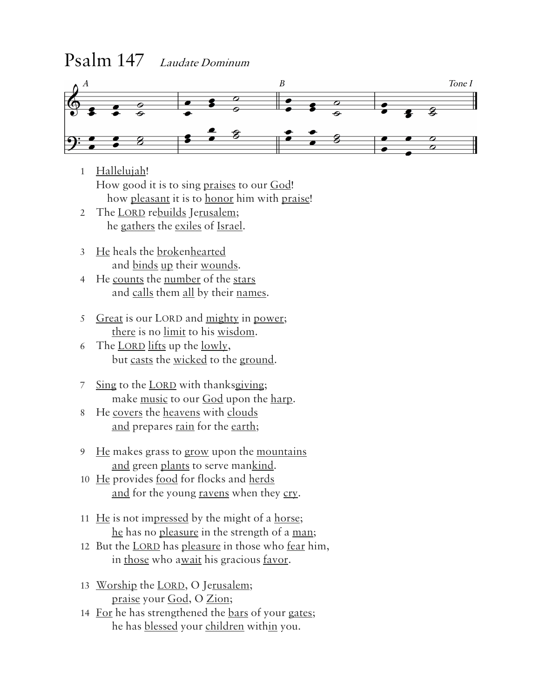## Psalm 147 Laudate Dominum



- 1 Hallelujah! How good it is to sing praises to our God! how pleasant it is to honor him with praise!
- 2 The LORD rebuilds Jerusalem; he gathers the exiles of Israel.
- 3 He heals the brokenhearted and binds up their wounds.
- 4 He counts the number of the stars and calls them all by their names.
- 5 Great is our LORD and mighty in power; there is no limit to his wisdom.
- 6 The LORD lifts up the lowly, but casts the wicked to the ground.
- 7 Sing to the LORD with thanksgiving; make music to our God upon the harp.
- 8 He covers the heavens with clouds and prepares <u>rain</u> for the earth;
- 9 He makes grass to grow upon the mountains and green plants to serve mankind.
- 10 He provides <u>food</u> for flocks and herds and for the young ravens when they cry.
- 11 He is not impressed by the might of a horse; he has no pleasure in the strength of a man;
- 12 But the <u>LORD</u> has pleasure in those who <u>fear</u> him, in those who await his gracious <u>favor</u>.
- 13 Worship the LORD, O Jerusalem; praise your God, O Zion;
- 14 For he has strengthened the <u>bars</u> of your gates; he has blessed your children within you.